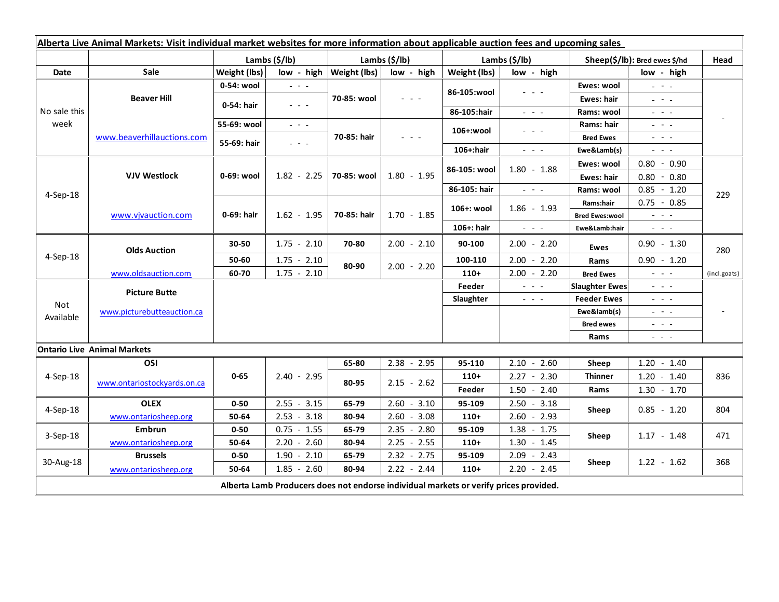| Alberta Live Animal Markets: Visit individual market websites for more information about applicable auction fees and upcoming sales |                                                    |                           |                                                                                                                           |                           |                                                                                                                           |                           |                                                                 |                               |                                                                                                                                                                                                                                                                                                                                                                                                                                                |              |
|-------------------------------------------------------------------------------------------------------------------------------------|----------------------------------------------------|---------------------------|---------------------------------------------------------------------------------------------------------------------------|---------------------------|---------------------------------------------------------------------------------------------------------------------------|---------------------------|-----------------------------------------------------------------|-------------------------------|------------------------------------------------------------------------------------------------------------------------------------------------------------------------------------------------------------------------------------------------------------------------------------------------------------------------------------------------------------------------------------------------------------------------------------------------|--------------|
|                                                                                                                                     |                                                    | Lambs $(\frac{2}{3})$ lb) |                                                                                                                           | Lambs $(\frac{2}{3})$ lb) |                                                                                                                           | Lambs $(\frac{2}{3})$ lb) |                                                                 | Sheep(\$/lb): Bred ewes \$/hd |                                                                                                                                                                                                                                                                                                                                                                                                                                                | Head         |
| Date                                                                                                                                | <b>Sale</b>                                        | Weight (lbs)              | low - high                                                                                                                | Weight (lbs)              | low - high                                                                                                                | Weight (lbs)              | low - high                                                      |                               | low - high                                                                                                                                                                                                                                                                                                                                                                                                                                     |              |
| No sale this<br>week                                                                                                                | <b>Beaver Hill</b>                                 | 0-54: wool                | $\omega_{\rm{c}}$ , $\omega_{\rm{c}}$ , $\omega_{\rm{c}}$                                                                 | 70-85: wool               | $\frac{1}{2} \left( \frac{1}{2} \right) \left( \frac{1}{2} \right) \left( \frac{1}{2} \right) \left( \frac{1}{2} \right)$ | 86-105:wool               | - - -                                                           | Ewes: wool                    | $\omega_{\rm c}$ , $\omega_{\rm c}$ , $\omega_{\rm c}$                                                                                                                                                                                                                                                                                                                                                                                         |              |
|                                                                                                                                     |                                                    | 0-54: hair                | $\frac{1}{2} \left( \frac{1}{2} \right) \left( \frac{1}{2} \right) \left( \frac{1}{2} \right) \left( \frac{1}{2} \right)$ |                           |                                                                                                                           |                           |                                                                 | Ewes: hair                    | $\frac{1}{2} \left( \frac{1}{2} \right) \frac{1}{2} \left( \frac{1}{2} \right) \frac{1}{2} \left( \frac{1}{2} \right) \frac{1}{2} \left( \frac{1}{2} \right) \frac{1}{2} \left( \frac{1}{2} \right) \frac{1}{2} \left( \frac{1}{2} \right) \frac{1}{2} \left( \frac{1}{2} \right) \frac{1}{2} \left( \frac{1}{2} \right) \frac{1}{2} \left( \frac{1}{2} \right) \frac{1}{2} \left( \frac{1}{2} \right) \frac{1}{2} \left( \frac{1}{2} \right)$ |              |
|                                                                                                                                     |                                                    |                           |                                                                                                                           |                           |                                                                                                                           | 86-105:hair               | $\omega_{\rm{eff}}$ , $\omega_{\rm{eff}}$ , $\omega_{\rm{eff}}$ | Rams: wool                    | $\frac{1}{2} \left( \frac{1}{2} \right) = \frac{1}{2} \left( \frac{1}{2} \right)$                                                                                                                                                                                                                                                                                                                                                              |              |
|                                                                                                                                     | www.beaverhillauctions.com                         | 55-69: wool               | $\omega_{\rm{eff}}$ and $\omega_{\rm{eff}}$                                                                               | 70-85: hair               | $\frac{1}{2} \left( \frac{1}{2} \right) = \frac{1}{2} \left( \frac{1}{2} \right)$                                         | 106+:wool                 | - - -                                                           | Rams: hair                    | $\frac{1}{2} \left( \frac{1}{2} \right) \left( \frac{1}{2} \right) \left( \frac{1}{2} \right) \left( \frac{1}{2} \right)$                                                                                                                                                                                                                                                                                                                      |              |
|                                                                                                                                     |                                                    | 55-69: hair               | $\frac{1}{2} \left( \frac{1}{2} \right) = \frac{1}{2} \left( \frac{1}{2} \right)$                                         |                           |                                                                                                                           |                           |                                                                 | <b>Bred Ewes</b>              | $  -$                                                                                                                                                                                                                                                                                                                                                                                                                                          |              |
|                                                                                                                                     |                                                    |                           |                                                                                                                           |                           |                                                                                                                           | 106+:hair                 | $ -$                                                            | Ewe&Lamb(s)                   | $\sim$ $\sim$ $\sim$                                                                                                                                                                                                                                                                                                                                                                                                                           |              |
| 4-Sep-18                                                                                                                            | <b>VJV Westlock</b>                                | 0-69: wool                | $1.82 - 2.25$                                                                                                             | 70-85: wool               | $1.80 - 1.95$                                                                                                             | 86-105: wool              | $1.80 - 1.88$                                                   | Ewes: wool                    | $0.80 - 0.90$                                                                                                                                                                                                                                                                                                                                                                                                                                  | 229          |
|                                                                                                                                     |                                                    |                           |                                                                                                                           |                           |                                                                                                                           |                           |                                                                 | Ewes: hair                    | $0.80 - 0.80$                                                                                                                                                                                                                                                                                                                                                                                                                                  |              |
|                                                                                                                                     |                                                    |                           |                                                                                                                           |                           |                                                                                                                           | 86-105: hair              | $\omega_{\rm{eff}}$ and $\omega_{\rm{eff}}$                     | Rams: wool                    | $0.85 - 1.20$                                                                                                                                                                                                                                                                                                                                                                                                                                  |              |
|                                                                                                                                     | www.vjvauction.com                                 | 0-69: hair                | $1.62 - 1.95$                                                                                                             | 70-85: hair               | $1.70 - 1.85$                                                                                                             | 106+: wool                | $1.86 - 1.93$                                                   | Rams:hair                     | $0.75 - 0.85$                                                                                                                                                                                                                                                                                                                                                                                                                                  |              |
|                                                                                                                                     |                                                    |                           |                                                                                                                           |                           |                                                                                                                           |                           |                                                                 | <b>Bred Ewes:wool</b>         | $\omega_{\rm{eff}}$ and $\omega_{\rm{eff}}$                                                                                                                                                                                                                                                                                                                                                                                                    |              |
|                                                                                                                                     |                                                    |                           |                                                                                                                           |                           |                                                                                                                           | 106+: hair                | $\omega_{\rm{eff}}$ and $\omega_{\rm{eff}}$                     | Ewe&Lamb:hair                 | $\omega_{\rm{eff}}$ and $\omega_{\rm{eff}}$                                                                                                                                                                                                                                                                                                                                                                                                    |              |
| 4-Sep-18                                                                                                                            | <b>Olds Auction</b>                                | 30-50                     | $1.75 - 2.10$                                                                                                             | 70-80                     | $2.00 - 2.10$                                                                                                             | 90-100                    | $2.00 - 2.20$                                                   | Ewes                          | $0.90 - 1.30$                                                                                                                                                                                                                                                                                                                                                                                                                                  | 280          |
|                                                                                                                                     |                                                    | 50-60                     | $1.75 - 2.10$                                                                                                             | 80-90                     | $2.00 - 2.20$                                                                                                             | 100-110                   | $2.00 - 2.20$                                                   | Rams                          | $0.90 - 1.20$                                                                                                                                                                                                                                                                                                                                                                                                                                  |              |
|                                                                                                                                     | www.oldsauction.com                                | 60-70                     | $1.75 - 2.10$                                                                                                             |                           |                                                                                                                           | $110+$                    | $2.00 - 2.20$                                                   | <b>Bred Ewes</b>              | $ -$                                                                                                                                                                                                                                                                                                                                                                                                                                           | (incl.goats) |
| Not<br>Available                                                                                                                    | <b>Picture Butte</b><br>www.picturebutteauction.ca |                           |                                                                                                                           |                           |                                                                                                                           | Feeder                    | $  -$                                                           | <b>Slaughter Ewes</b>         | $  -$                                                                                                                                                                                                                                                                                                                                                                                                                                          |              |
|                                                                                                                                     |                                                    |                           |                                                                                                                           |                           |                                                                                                                           | Slaughter                 | $  -$                                                           | <b>Feeder Ewes</b>            | $  -$                                                                                                                                                                                                                                                                                                                                                                                                                                          |              |
|                                                                                                                                     |                                                    |                           |                                                                                                                           |                           |                                                                                                                           |                           |                                                                 | Ewe&lamb(s)                   | $  -$                                                                                                                                                                                                                                                                                                                                                                                                                                          |              |
|                                                                                                                                     |                                                    |                           |                                                                                                                           |                           |                                                                                                                           |                           |                                                                 | <b>Bred ewes</b>              | $\frac{1}{2} \left( \frac{1}{2} \right) = \frac{1}{2} \left( \frac{1}{2} \right)$                                                                                                                                                                                                                                                                                                                                                              |              |
|                                                                                                                                     |                                                    |                           |                                                                                                                           |                           |                                                                                                                           |                           |                                                                 | Rams                          | $\frac{1}{2} \left( \frac{1}{2} \right) \frac{1}{2} \left( \frac{1}{2} \right) \frac{1}{2} \left( \frac{1}{2} \right)$                                                                                                                                                                                                                                                                                                                         |              |
| <b>Ontario Live Animal Markets</b>                                                                                                  |                                                    |                           |                                                                                                                           |                           |                                                                                                                           |                           |                                                                 |                               |                                                                                                                                                                                                                                                                                                                                                                                                                                                |              |
| 4-Sep-18                                                                                                                            | OSI                                                | $0 - 65$                  | $2.40 - 2.95$                                                                                                             | 65-80                     | $2.38 - 2.95$                                                                                                             | 95-110                    | $2.10 - 2.60$                                                   | Sheep                         | $1.20 - 1.40$                                                                                                                                                                                                                                                                                                                                                                                                                                  |              |
|                                                                                                                                     | www.ontariostockyards.on.ca                        |                           |                                                                                                                           | 80-95                     | $2.15 - 2.62$                                                                                                             | $110+$                    | $2.27 - 2.30$                                                   | <b>Thinner</b>                | $1.20 - 1.40$                                                                                                                                                                                                                                                                                                                                                                                                                                  | 836          |
|                                                                                                                                     |                                                    |                           |                                                                                                                           |                           |                                                                                                                           | Feeder                    | $1.50 - 2.40$                                                   | Rams                          | $1.30 - 1.70$                                                                                                                                                                                                                                                                                                                                                                                                                                  |              |
| $4-$ Sep $-18$                                                                                                                      | <b>OLEX</b>                                        | $0 - 50$                  | $2.55 - 3.15$                                                                                                             | 65-79                     | $2.60 - 3.10$                                                                                                             | 95-109                    | $2.50 - 3.18$                                                   | Sheep                         | $0.85 - 1.20$                                                                                                                                                                                                                                                                                                                                                                                                                                  | 804          |
|                                                                                                                                     | www.ontariosheep.org                               | 50-64                     | $2.53 - 3.18$                                                                                                             | 80-94                     | $2.60 - 3.08$                                                                                                             | $110+$                    | $2.60 - 2.93$                                                   |                               |                                                                                                                                                                                                                                                                                                                                                                                                                                                |              |
| $3-$ Sep $-18$                                                                                                                      | <b>Embrun</b>                                      | $0 - 50$                  | $0.75 - 1.55$                                                                                                             | 65-79                     | $2.35 - 2.80$                                                                                                             | 95-109                    | 1.38<br>$-1.75$                                                 | Sheep                         | $1.17 - 1.48$                                                                                                                                                                                                                                                                                                                                                                                                                                  | 471          |
|                                                                                                                                     | www.ontariosheep.org                               | 50-64                     | $2.20 - 2.60$                                                                                                             | 80-94                     | $2.25 - 2.55$                                                                                                             | $110+$                    | $1.30 - 1.45$                                                   |                               |                                                                                                                                                                                                                                                                                                                                                                                                                                                |              |
| 30-Aug-18                                                                                                                           | <b>Brussels</b>                                    | $0 - 50$                  | $1.90 - 2.10$                                                                                                             | 65-79                     | $2.32 - 2.75$                                                                                                             | 95-109                    | $2.09 - 2.43$                                                   | Sheep                         | $1.22 - 1.62$                                                                                                                                                                                                                                                                                                                                                                                                                                  | 368          |
|                                                                                                                                     | www.ontariosheep.org                               | 50-64                     | $1.85 - 2.60$                                                                                                             | 80-94                     | $2.22 - 2.44$                                                                                                             | $110+$                    | $2.20 - 2.45$                                                   |                               |                                                                                                                                                                                                                                                                                                                                                                                                                                                |              |
| Alberta Lamb Producers does not endorse individual markets or verify prices provided.                                               |                                                    |                           |                                                                                                                           |                           |                                                                                                                           |                           |                                                                 |                               |                                                                                                                                                                                                                                                                                                                                                                                                                                                |              |